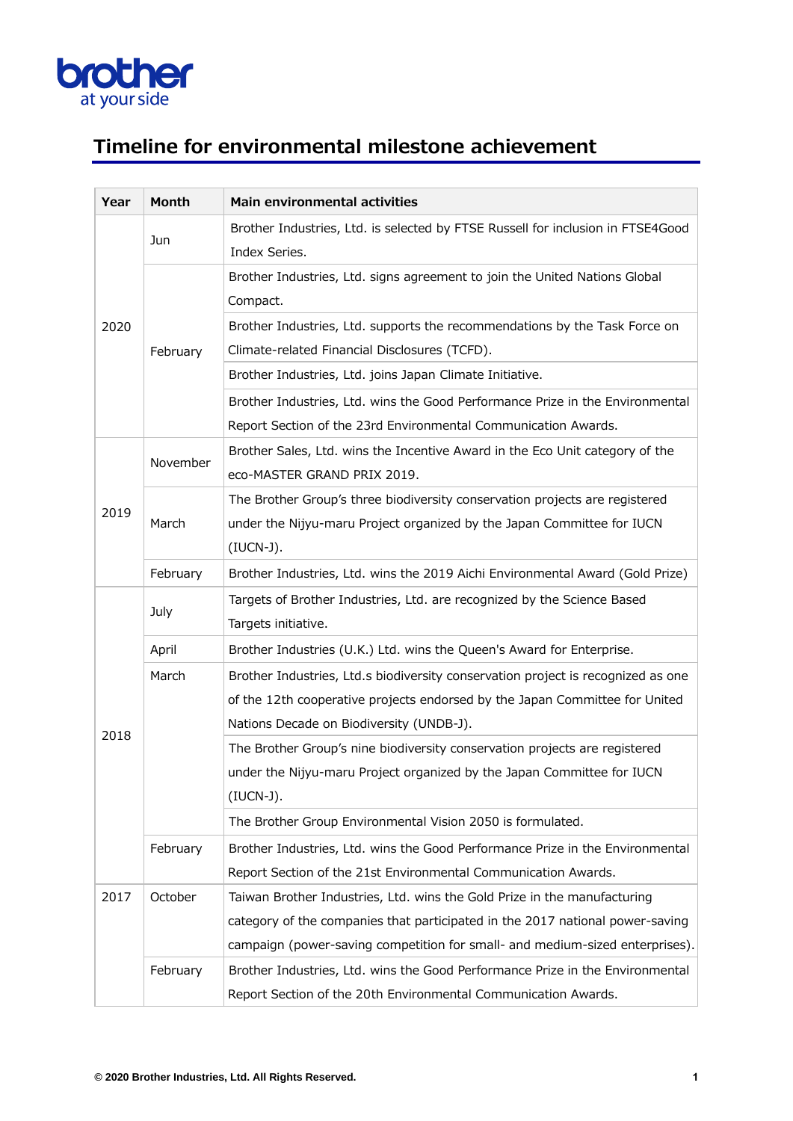

## **Timeline for environmental milestone achievement**

| Year | Month    | Main environmental activities                                                    |
|------|----------|----------------------------------------------------------------------------------|
| 2020 | Jun      | Brother Industries, Ltd. is selected by FTSE Russell for inclusion in FTSE4Good  |
|      |          | Index Series.                                                                    |
|      | February | Brother Industries, Ltd. signs agreement to join the United Nations Global       |
|      |          | Compact.                                                                         |
|      |          | Brother Industries, Ltd. supports the recommendations by the Task Force on       |
|      |          | Climate-related Financial Disclosures (TCFD).                                    |
|      |          | Brother Industries, Ltd. joins Japan Climate Initiative.                         |
|      |          | Brother Industries, Ltd. wins the Good Performance Prize in the Environmental    |
|      |          | Report Section of the 23rd Environmental Communication Awards.                   |
|      | November | Brother Sales, Ltd. wins the Incentive Award in the Eco Unit category of the     |
|      |          | eco-MASTER GRAND PRIX 2019.                                                      |
|      |          | The Brother Group's three biodiversity conservation projects are registered      |
| 2019 | March    | under the Nijyu-maru Project organized by the Japan Committee for IUCN           |
|      |          | $(IUCN-J).$                                                                      |
|      | February | Brother Industries, Ltd. wins the 2019 Aichi Environmental Award (Gold Prize)    |
|      | July     | Targets of Brother Industries, Ltd. are recognized by the Science Based          |
|      |          | Targets initiative.                                                              |
|      | April    | Brother Industries (U.K.) Ltd. wins the Queen's Award for Enterprise.            |
|      | March    | Brother Industries, Ltd.s biodiversity conservation project is recognized as one |
|      |          | of the 12th cooperative projects endorsed by the Japan Committee for United      |
| 2018 |          | Nations Decade on Biodiversity (UNDB-J).                                         |
|      |          | The Brother Group's nine biodiversity conservation projects are registered       |
|      |          | under the Nijyu-maru Project organized by the Japan Committee for IUCN           |
|      |          | (IUCN-J).                                                                        |
|      |          | The Brother Group Environmental Vision 2050 is formulated.                       |
|      | February | Brother Industries, Ltd. wins the Good Performance Prize in the Environmental    |
|      |          | Report Section of the 21st Environmental Communication Awards.                   |
| 2017 | October  | Taiwan Brother Industries, Ltd. wins the Gold Prize in the manufacturing         |
|      |          | category of the companies that participated in the 2017 national power-saving    |
|      |          | campaign (power-saving competition for small- and medium-sized enterprises).     |
|      | February | Brother Industries, Ltd. wins the Good Performance Prize in the Environmental    |
|      |          | Report Section of the 20th Environmental Communication Awards.                   |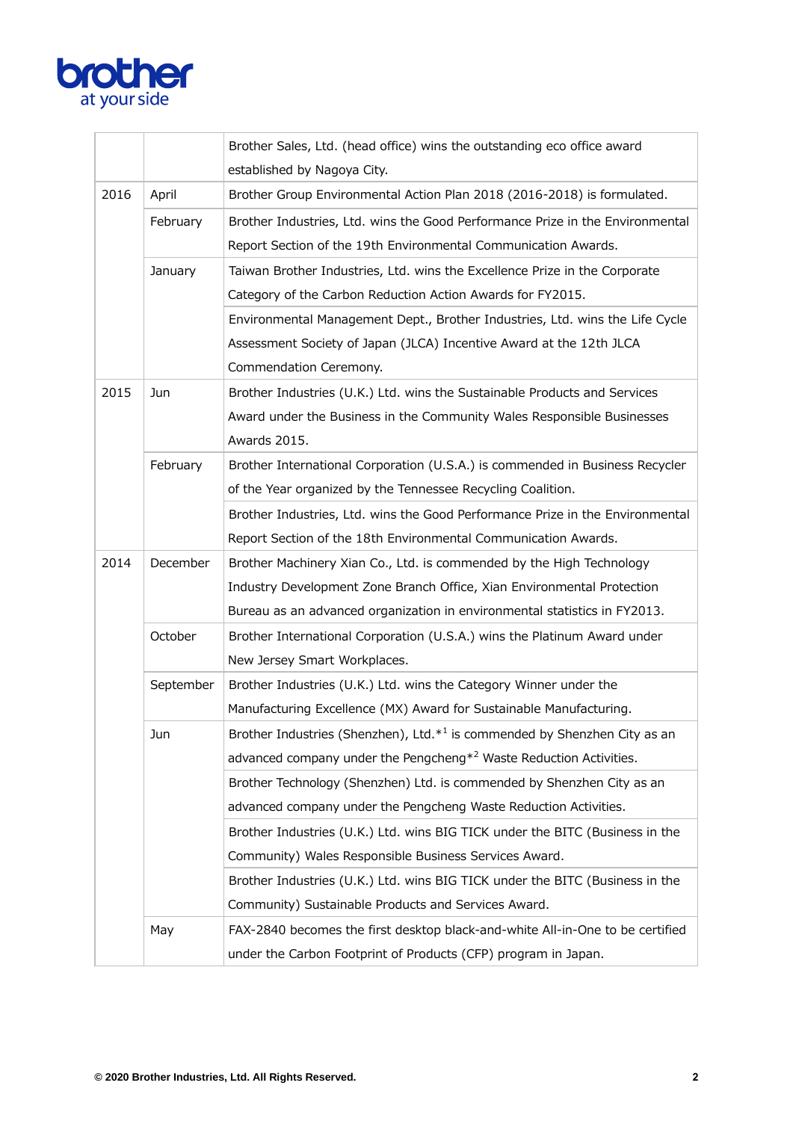

|      |           | Brother Sales, Ltd. (head office) wins the outstanding eco office award               |
|------|-----------|---------------------------------------------------------------------------------------|
|      |           | established by Nagoya City.                                                           |
| 2016 | April     | Brother Group Environmental Action Plan 2018 (2016-2018) is formulated.               |
|      | February  | Brother Industries, Ltd. wins the Good Performance Prize in the Environmental         |
|      |           | Report Section of the 19th Environmental Communication Awards.                        |
|      | January   | Taiwan Brother Industries, Ltd. wins the Excellence Prize in the Corporate            |
|      |           | Category of the Carbon Reduction Action Awards for FY2015.                            |
|      |           | Environmental Management Dept., Brother Industries, Ltd. wins the Life Cycle          |
|      |           | Assessment Society of Japan (JLCA) Incentive Award at the 12th JLCA                   |
|      |           | Commendation Ceremony.                                                                |
| 2015 | Jun       | Brother Industries (U.K.) Ltd. wins the Sustainable Products and Services             |
|      |           | Award under the Business in the Community Wales Responsible Businesses                |
|      |           | Awards 2015.                                                                          |
|      | February  | Brother International Corporation (U.S.A.) is commended in Business Recycler          |
|      |           | of the Year organized by the Tennessee Recycling Coalition.                           |
|      |           | Brother Industries, Ltd. wins the Good Performance Prize in the Environmental         |
|      |           | Report Section of the 18th Environmental Communication Awards.                        |
| 2014 | December  | Brother Machinery Xian Co., Ltd. is commended by the High Technology                  |
|      |           | Industry Development Zone Branch Office, Xian Environmental Protection                |
|      |           | Bureau as an advanced organization in environmental statistics in FY2013.             |
|      | October   | Brother International Corporation (U.S.A.) wins the Platinum Award under              |
|      |           | New Jersey Smart Workplaces.                                                          |
|      | September | Brother Industries (U.K.) Ltd. wins the Category Winner under the                     |
|      |           | Manufacturing Excellence (MX) Award for Sustainable Manufacturing.                    |
|      | Jun       | Brother Industries (Shenzhen), Ltd.* <sup>1</sup> is commended by Shenzhen City as an |
|      |           | advanced company under the Pengcheng $*^2$ Waste Reduction Activities.                |
|      |           | Brother Technology (Shenzhen) Ltd. is commended by Shenzhen City as an                |
|      |           | advanced company under the Pengcheng Waste Reduction Activities.                      |
|      |           | Brother Industries (U.K.) Ltd. wins BIG TICK under the BITC (Business in the          |
|      |           | Community) Wales Responsible Business Services Award.                                 |
|      |           | Brother Industries (U.K.) Ltd. wins BIG TICK under the BITC (Business in the          |
|      |           | Community) Sustainable Products and Services Award.                                   |
|      | May       | FAX-2840 becomes the first desktop black-and-white All-in-One to be certified         |
|      |           | under the Carbon Footprint of Products (CFP) program in Japan.                        |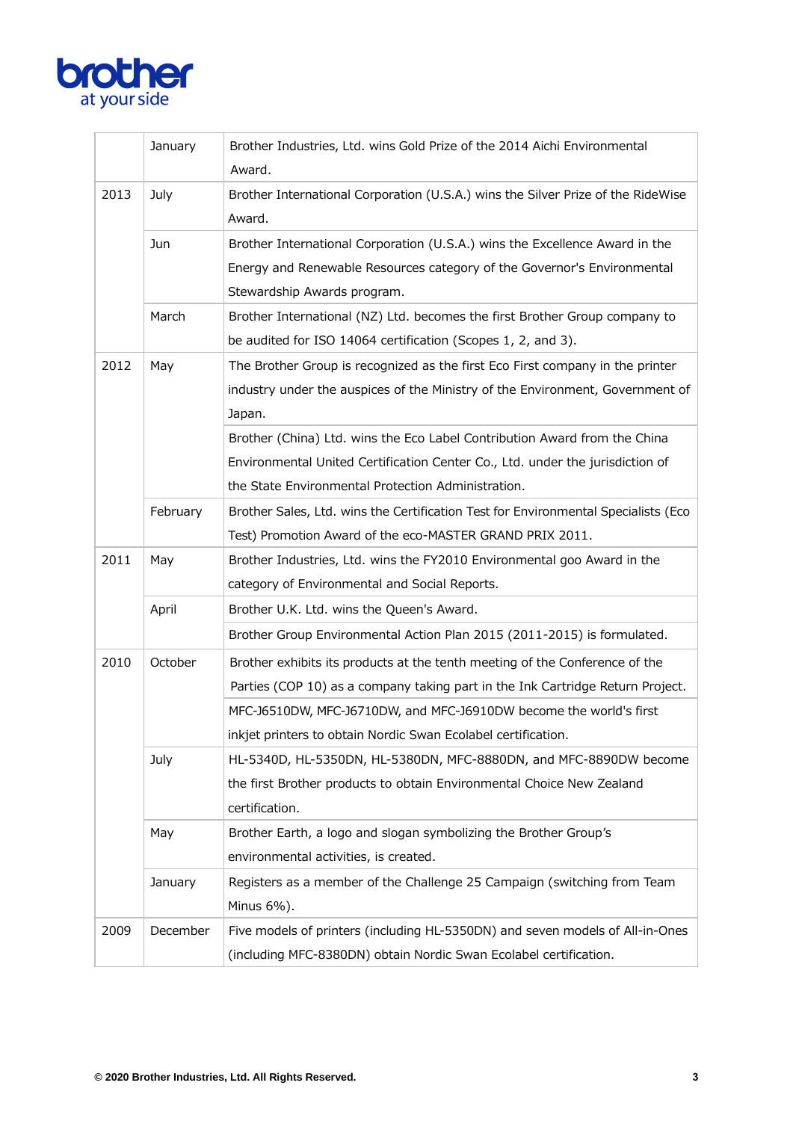

|      | January  | Brother Industries, Ltd. wins Gold Prize of the 2014 Aichi Environmental<br>Award.                                                                                                                                                  |
|------|----------|-------------------------------------------------------------------------------------------------------------------------------------------------------------------------------------------------------------------------------------|
| 2013 | July     | Brother International Corporation (U.S.A.) wins the Silver Prize of the RideWise<br>Award.                                                                                                                                          |
|      | Jun      | Brother International Corporation (U.S.A.) wins the Excellence Award in the<br>Energy and Renewable Resources category of the Governor's Environmental<br>Stewardship Awards program.                                               |
|      | March    | Brother International (NZ) Ltd. becomes the first Brother Group company to<br>be audited for ISO 14064 certification (Scopes 1, 2, and 3).                                                                                          |
| 2012 | May      | The Brother Group is recognized as the first Eco First company in the printer<br>industry under the auspices of the Ministry of the Environment, Government of<br>Japan.                                                            |
|      |          | Brother (China) Ltd. wins the Eco Label Contribution Award from the China<br>Environmental United Certification Center Co., Ltd. under the jurisdiction of<br>the State Environmental Protection Administration.                    |
|      | February | Brother Sales, Ltd. wins the Certification Test for Environmental Specialists (Eco<br>Test) Promotion Award of the eco-MASTER GRAND PRIX 2011.                                                                                      |
| 2011 | May      | Brother Industries, Ltd. wins the FY2010 Environmental goo Award in the<br>category of Environmental and Social Reports.                                                                                                            |
|      | April    | Brother U.K. Ltd. wins the Queen's Award.<br>Brother Group Environmental Action Plan 2015 (2011-2015) is formulated.                                                                                                                |
| 2010 | October  | Brother exhibits its products at the tenth meeting of the Conference of the<br>Parties (COP 10) as a company taking part in the Ink Cartridge Return Project.<br>MFC-J6510DW, MFC-J6710DW, and MFC-J6910DW become the world's first |
|      |          | inkjet printers to obtain Nordic Swan Ecolabel certification.                                                                                                                                                                       |
|      | July     | HL-5340D, HL-5350DN, HL-5380DN, MFC-8880DN, and MFC-8890DW become<br>the first Brother products to obtain Environmental Choice New Zealand<br>certification.                                                                        |
|      | May      | Brother Earth, a logo and slogan symbolizing the Brother Group's<br>environmental activities, is created.                                                                                                                           |
|      | January  | Registers as a member of the Challenge 25 Campaign (switching from Team<br>Minus 6%).                                                                                                                                               |
| 2009 | December | Five models of printers (including HL-5350DN) and seven models of All-in-Ones<br>(including MFC-8380DN) obtain Nordic Swan Ecolabel certification.                                                                                  |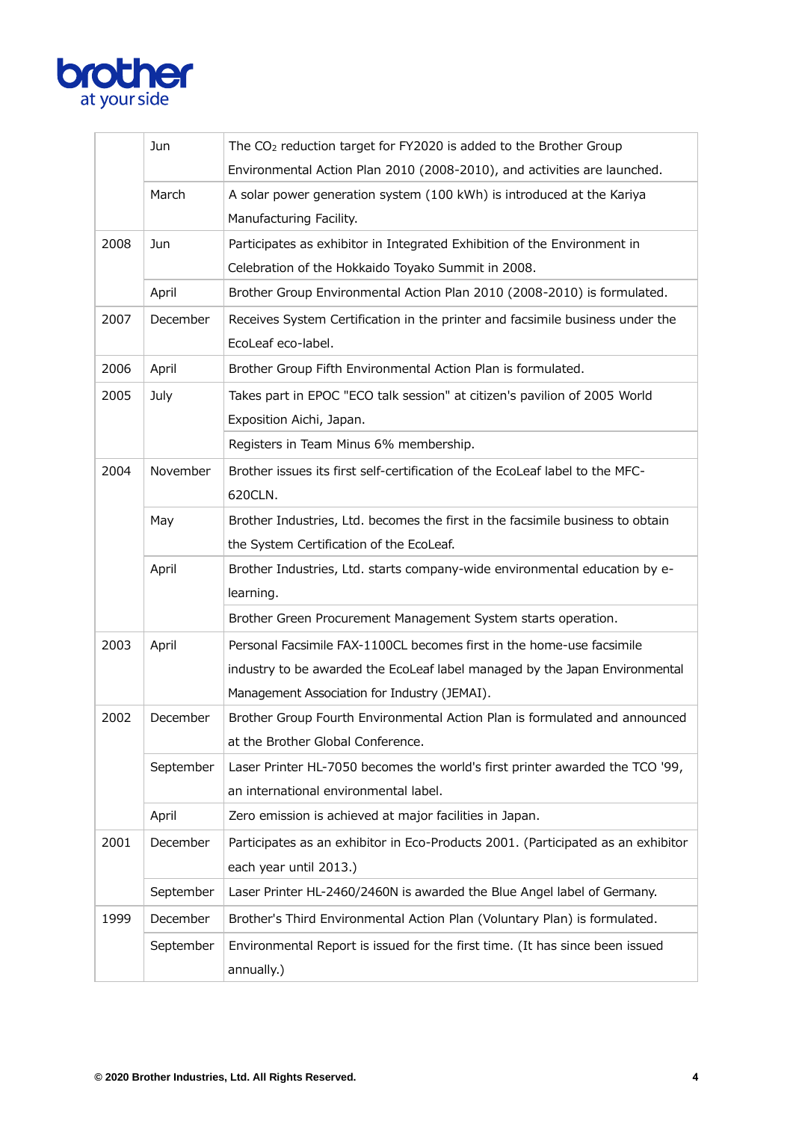

|      | Jun       | The CO <sub>2</sub> reduction target for FY2020 is added to the Brother Group    |
|------|-----------|----------------------------------------------------------------------------------|
|      |           | Environmental Action Plan 2010 (2008-2010), and activities are launched.         |
|      | March     | A solar power generation system (100 kWh) is introduced at the Kariya            |
|      |           | Manufacturing Facility.                                                          |
| 2008 | Jun       | Participates as exhibitor in Integrated Exhibition of the Environment in         |
|      |           | Celebration of the Hokkaido Toyako Summit in 2008.                               |
|      | April     | Brother Group Environmental Action Plan 2010 (2008-2010) is formulated.          |
| 2007 | December  | Receives System Certification in the printer and facsimile business under the    |
|      |           | EcoLeaf eco-label.                                                               |
| 2006 | April     | Brother Group Fifth Environmental Action Plan is formulated.                     |
| 2005 | July      | Takes part in EPOC "ECO talk session" at citizen's pavilion of 2005 World        |
|      |           | Exposition Aichi, Japan.                                                         |
|      |           | Registers in Team Minus 6% membership.                                           |
| 2004 | November  | Brother issues its first self-certification of the EcoLeaf label to the MFC-     |
|      |           | 620CLN.                                                                          |
|      | May       | Brother Industries, Ltd. becomes the first in the facsimile business to obtain   |
|      |           | the System Certification of the EcoLeaf.                                         |
|      | April     | Brother Industries, Ltd. starts company-wide environmental education by e-       |
|      |           | learning.                                                                        |
|      |           | Brother Green Procurement Management System starts operation.                    |
| 2003 | April     | Personal Facsimile FAX-1100CL becomes first in the home-use facsimile            |
|      |           | industry to be awarded the EcoLeaf label managed by the Japan Environmental      |
|      |           | Management Association for Industry (JEMAI).                                     |
| 2002 | December  | Brother Group Fourth Environmental Action Plan is formulated and announced       |
|      |           | at the Brother Global Conference.                                                |
|      | September | Laser Printer HL-7050 becomes the world's first printer awarded the TCO '99,     |
|      |           | an international environmental label.                                            |
|      | April     | Zero emission is achieved at major facilities in Japan.                          |
| 2001 | December  | Participates as an exhibitor in Eco-Products 2001. (Participated as an exhibitor |
|      |           | each year until 2013.)                                                           |
|      | September | Laser Printer HL-2460/2460N is awarded the Blue Angel label of Germany.          |
| 1999 | December  | Brother's Third Environmental Action Plan (Voluntary Plan) is formulated.        |
|      | September | Environmental Report is issued for the first time. (It has since been issued     |
|      |           | annually.)                                                                       |